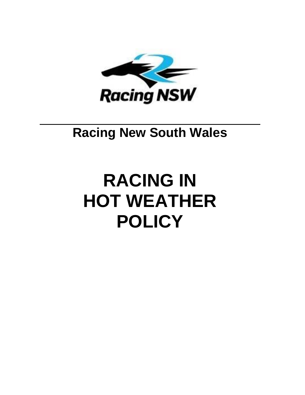

# **Racing New South Wales**

# **RACING IN HOT WEATHER POLICY**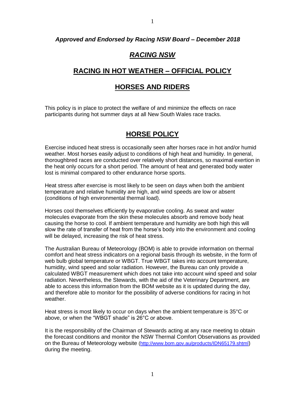#### *Approved and Endorsed by Racing NSW Board – December 2018*

# *RACING NSW*

## **RACING IN HOT WEATHER – OFFICIAL POLICY**

## **HORSES AND RIDERS**

This policy is in place to protect the welfare of and minimize the effects on race participants during hot summer days at all New South Wales race tracks.

# **HORSE POLICY**

Exercise induced heat stress is occasionally seen after horses race in hot and/or humid weather. Most horses easily adjust to conditions of high heat and humidity. In general, thoroughbred races are conducted over relatively short distances, so maximal exertion in the heat only occurs for a short period. The amount of heat and generated body water lost is minimal compared to other endurance horse sports.

Heat stress after exercise is most likely to be seen on days when both the ambient temperature and relative humidity are high, and wind speeds are low or absent (conditions of high environmental thermal load).

Horses cool themselves efficiently by evaporative cooling. As sweat and water molecules evaporate from the skin these molecules absorb and remove body heat causing the horse to cool. If ambient temperature and humidity are both high this will slow the rate of transfer of heat from the horse's body into the environment and cooling will be delayed, increasing the risk of heat stress.

The Australian Bureau of Meteorology (BOM) is able to provide information on thermal comfort and heat stress indicators on a regional basis through its website, in the form of web bulb global temperature or WBGT. True WBGT takes into account temperature, humidity, wind speed and solar radiation. However, the Bureau can only provide a calculated WBGT measurement which does not take into account wind speed and solar radiation. Nevertheless, the Stewards, with the aid of the Veterinary Department, are able to access this information from the BOM website as it is updated during the day, and therefore able to monitor for the possibility of adverse conditions for racing in hot weather.

Heat stress is most likely to occur on days when the ambient temperature is 35°C or above, or when the "WBGT shade" is 26°C or above.

It is the responsibility of the Chairman of Stewards acting at any race meeting to obtain the forecast conditions and monitor the NSW Thermal Comfort Observations as provided on the Bureau of Meteorology website [\(http://www.bom.gov.au/products/IDN65179.shtml](http://www.bom.gov.au/products/IDN65179.shtml)) during the meeting.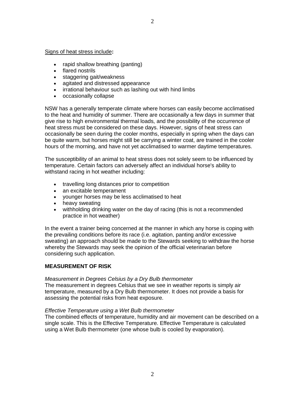#### Signs of heat stress include**:**

- rapid shallow breathing (panting)
- flared nostrils
- staggering gait/weakness
- agitated and distressed appearance
- irrational behaviour such as lashing out with hind limbs
- occasionally collapse

NSW has a generally temperate climate where horses can easily become acclimatised to the heat and humidity of summer. There are occasionally a few days in summer that give rise to high environmental thermal loads, and the possibility of the occurrence of heat stress must be considered on these days. However, signs of heat stress can occasionally be seen during the cooler months, especially in spring when the days can be quite warm, but horses might still be carrying a winter coat, are trained in the cooler hours of the morning, and have not yet acclimatised to warmer daytime temperatures.

The susceptibility of an animal to heat stress does not solely seem to be influenced by temperature. Certain factors can adversely affect an individual horse's ability to withstand racing in hot weather including:

- travelling long distances prior to competition
- an excitable temperament
- younger horses may be less acclimatised to heat
- heavy sweating
- withholding drinking water on the day of racing (this is not a recommended practice in hot weather)

In the event a trainer being concerned at the manner in which any horse is coping with the prevailing conditions before its race (i.e. agitation, panting and/or excessive sweating) an approach should be made to the Stewards seeking to withdraw the horse whereby the Stewards may seek the opinion of the official veterinarian before considering such application.

#### **MEASUREMENT OF RISK**

#### *Measurement in Degrees Celsius by a Dry Bulb thermometer*

The measurement in degrees Celsius that we see in weather reports is simply air temperature, measured by a Dry Bulb thermometer. It does not provide a basis for assessing the potential risks from heat exposure.

#### *Effective Temperature using a Wet Bulb thermometer*

The combined effects of temperature, humidity and air movement can be described on a single scale. This is the Effective Temperature. Effective Temperature is calculated using a Wet Bulb thermometer (one whose bulb is cooled by evaporation).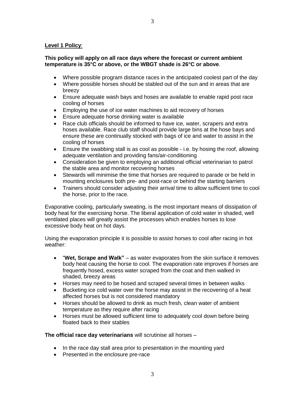#### **Level 1 Policy**:

#### **This policy will apply on all race days where the forecast or current ambient temperature is 35°C or above, or the WBGT shade is 26°C or above**.

- Where possible program distance races in the anticipated coolest part of the day
- Where possible horses should be stabled out of the sun and in areas that are breezy
- Ensure adequate wash bays and hoses are available to enable rapid post race cooling of horses
- Employing the use of ice water machines to aid recovery of horses
- Ensure adequate horse drinking water is available
- Race club officials should be informed to have ice, water, scrapers and extra hoses available. Race club staff should provide large bins at the hose bays and ensure these are continually stocked with bags of ice and water to assist in the cooling of horses
- Ensure the swabbing stall is as cool as possible i.e. by hosing the roof, allowing adequate ventilation and providing fans/air-conditioning
- Consideration be given to employing an additional official veterinarian to patrol the stable area and monitor recovering horses
- Stewards will minimise the time that horses are required to parade or be held in mounting enclosures both pre- and post-race or behind the starting barriers
- Trainers should consider adjusting their arrival time to allow sufficient time to cool the horse, prior to the race.

Evaporative cooling, particularly sweating, is the most important means of dissipation of body heat for the exercising horse. The liberal application of cold water in shaded, well ventilated places will greatly assist the processes which enables horses to lose excessive body heat on hot days.

Using the evaporation principle it is possible to assist horses to cool after racing in hot weather:

- "**Wet, Scrape and Walk"** as water evaporates from the skin surface it removes body heat causing the horse to cool. The evaporation rate improves if horses are frequently hosed, excess water scraped from the coat and then walked in shaded, breezy areas
- Horses may need to be hosed and scraped several times in between walks
- Bucketing ice cold water over the horse may assist in the recovering of a heat affected horses but is not considered mandatory
- Horses should be allowed to drink as much fresh, clean water of ambient temperature as they require after racing
- Horses must be allowed sufficient time to adequately cool down before being floated back to their stables

**The official race day veterinarians** will scrutinise all horses –

- In the race day stall area prior to presentation in the mounting yard
- Presented in the enclosure pre-race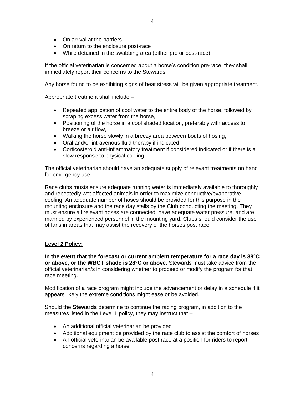- On arrival at the barriers
- On return to the enclosure post-race
- While detained in the swabbing area (either pre or post-race)

If the official veterinarian is concerned about a horse's condition pre-race, they shall immediately report their concerns to the Stewards.

Any horse found to be exhibiting signs of heat stress will be given appropriate treatment.

Appropriate treatment shall include –

- Repeated application of cool water to the entire body of the horse, followed by scraping excess water from the horse,
- Positioning of the horse in a cool shaded location, preferably with access to breeze or air flow,
- Walking the horse slowly in a breezy area between bouts of hosing,
- Oral and/or intravenous fluid therapy if indicated,
- Corticosteroid anti-inflammatory treatment if considered indicated or if there is a slow response to physical cooling.

The official veterinarian should have an adequate supply of relevant treatments on hand for emergency use.

Race clubs musts ensure adequate running water is immediately available to thoroughly and repeatedly wet affected animals in order to maximize conductive/evaporative cooling. An adequate number of hoses should be provided for this purpose in the mounting enclosure and the race day stalls by the Club conducting the meeting. They must ensure all relevant hoses are connected, have adequate water pressure, and are manned by experienced personnel in the mounting yard. Clubs should consider the use of fans in areas that may assist the recovery of the horses post race.

#### **Level 2 Policy:**

**In the event that the forecast or current ambient temperature for a race day is 38°C or above, or the WBGT shade is 28°C or above**, Stewards must take advice from the official veterinarian/s in considering whether to proceed or modify the program for that race meeting.

Modification of a race program might include the advancement or delay in a schedule if it appears likely the extreme conditions might ease or be avoided.

Should the **Stewards** determine to continue the racing program, in addition to the measures listed in the Level 1 policy, they may instruct that –

- An additional official veterinarian be provided
- Additional equipment be provided by the race club to assist the comfort of horses
- An official veterinarian be available post race at a position for riders to report concerns regarding a horse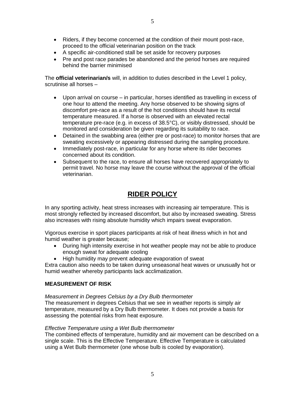- Riders, if they become concerned at the condition of their mount post-race, proceed to the official veterinarian position on the track
- A specific air-conditioned stall be set aside for recovery purposes
- Pre and post race parades be abandoned and the period horses are required behind the barrier minimised

The **official veterinarian/s** will, in addition to duties described in the Level 1 policy, scrutinise all horses –

- Upon arrival on course in particular, horses identified as travelling in excess of one hour to attend the meeting. Any horse observed to be showing signs of discomfort pre-race as a result of the hot conditions should have its rectal temperature measured. If a horse is observed with an elevated rectal temperature pre-race (e.g. in excess of 38.5°C), or visibly distressed, should be monitored and consideration be given regarding its suitability to race.
- Detained in the swabbing area (either pre or post-race) to monitor horses that are sweating excessively or appearing distressed during the sampling procedure.
- Immediately post-race, in particular for any horse where its rider becomes concerned about its condition.
- Subsequent to the race, to ensure all horses have recovered appropriately to permit travel. No horse may leave the course without the approval of the official veterinarian.

# **RIDER POLICY**

In any sporting activity, heat stress increases with increasing air temperature. This is most strongly reflected by increased discomfort, but also by increased sweating. Stress also increases with rising absolute humidity which impairs sweat evaporation.

Vigorous exercise in sport places participants at risk of heat illness which in hot and humid weather is greater because;

- During high intensity exercise in hot weather people may not be able to produce enough sweat for adequate cooling
- High humidity may prevent adequate evaporation of sweat

Extra caution also needs to be taken during unseasonal heat waves or unusually hot or humid weather whereby participants lack acclimatization.

#### **MEASUREMENT OF RISK**

*Measurement in Degrees Celsius by a Dry Bulb thermometer*

The measurement in degrees Celsius that we see in weather reports is simply air temperature, measured by a Dry Bulb thermometer. It does not provide a basis for assessing the potential risks from heat exposure.

#### *Effective Temperature using a Wet Bulb thermometer*

The combined effects of temperature, humidity and air movement can be described on a single scale. This is the Effective Temperature. Effective Temperature is calculated using a Wet Bulb thermometer (one whose bulb is cooled by evaporation).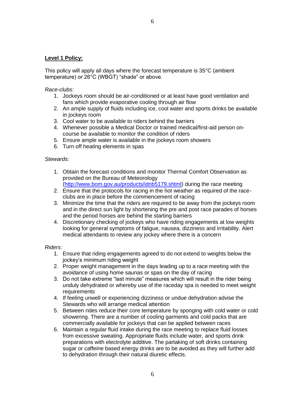#### **Level 1 Policy:**

This policy will apply all days where the forecast temperature is 35°C (ambient temperature) or 26°C (WBGT) "shade" or above.

#### *Race-clubs:*

- 1. Jockeys room should be air-conditioned or at least have good ventilation and fans which provide evaporative cooling through air flow
- 2. An ample supply of fluids including ice, cool water and sports drinks be available in jockeys room
- 3. Cool water to be available to riders behind the barriers
- 4. Whenever possible a Medical Doctor or trained medical/first-aid person oncourse be available to monitor the condition of riders
- 5. Ensure ample water is available in the jockeys room showers
- 6. Turn off heating elements in spas

#### *Stewards:*

- 1. Obtain the forecast conditions and monitor Thermal Comfort Observation as provided on the Bureau of Meteorology [\(http://www.bom.gov.au/products/idnb5179.shtml\)](http://www.bom.gov.au/products/idnb5179.shtml) during the race meeting
- 2. Ensure that the protocols for racing in the hot weather as required of the raceclubs are in place before the commencement of racing
- 3. Minimize the time that the riders are required to be away from the jockeys room and in the direct sun light by shortening the pre and post race parades of horses and the period horses are behind the starting barriers
- 4. Discretionary checking of jockeys who have riding engagements at low weights looking for general symptoms of fatigue, nausea, dizziness and irritability. Alert medical attendants to review any jockey where there is a concern

#### *Riders*:

- 1. Ensure that riding engagements agreed to do not extend to weights below the jockey's minimum riding weight
- 2. Proper weight management in the days leading up to a race meeting with the avoidance of using home saunas or spas on the day of racing
- 3. Do not take extreme "last minute" measures which will result in the rider being unduly dehydrated or whereby use of the raceday spa is needed to meet weight **requirements**
- 4. If feeling unwell or experiencing dizziness or undue dehydration advise the Stewards who will arrange medical attention
- 5. Between rides reduce their core temperature by sponging with cold water or cold showering. There are a number of cooling garments and cold packs that are commercially available for jockeys that can be applied between races
- 6. Maintain a regular fluid intake during the race meeting to replace fluid losses from excessive sweating. Appropriate fluids include water, and sports drink preparations with electrolyte additive. The partaking of soft drinks containing sugar or caffeine based energy drinks are to be avoided as they will further add to dehydration through their natural diuretic effects.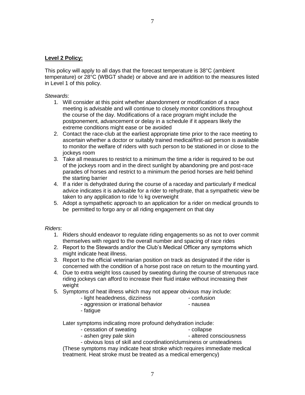#### **Level 2 Policy:**

This policy will apply to all days that the forecast temperature is 38°C (ambient temperature) or 28°C (WBGT shade) or above and are in addition to the measures listed in Level 1 of this policy.

7

*Stewards*:

- 1. Will consider at this point whether abandonment or modification of a race meeting is advisable and will continue to closely monitor conditions throughout the course of the day. Modifications of a race program might include the postponement, advancement or delay in a schedule if it appears likely the extreme conditions might ease or be avoided
- 2. Contact the race-club at the earliest appropriate time prior to the race meeting to ascertain whether a doctor or suitably trained medical/first-aid person is available to monitor the welfare of riders with such person to be stationed in or close to the jockeys room
- 3. Take all measures to restrict to a minimum the time a rider is required to be out of the jockeys room and in the direct sunlight by abandoning pre and post-race parades of horses and restrict to a minimum the period horses are held behind the starting barrier
- 4. If a rider is dehydrated during the course of a raceday and particularly if medical advice indicates it is advisable for a rider to rehydrate, that a sympathetic view be taken to any application to ride  $\frac{1}{2}$  kg overweight
- 5. Adopt a sympathetic approach to an application for a rider on medical grounds to be permitted to forgo any or all riding engagement on that day

#### *Riders*:

- 1. Riders should endeavor to regulate riding engagements so as not to over commit themselves with regard to the overall number and spacing of race rides
- 2. Report to the Stewards and/or the Club's Medical Officer any symptoms which might indicate heat illness.
- 3. Report to the official veterinarian position on track as designated if the rider is concerned with the condition of a horse post race on return to the mounting yard.
- 4. Due to extra weight loss caused by sweating during the course of strenuous race riding jockeys can afford to increase their fluid intake without increasing their weight
- 5. Symptoms of heat illness which may not appear obvious may include:
	- light headedness, dizziness confusion
	- aggression or irrational behavior nausea
- 

- fatigue

Later symptoms indicating more profound dehydration include:

- cessation of sweating example of  $\sim$  collapse
	-
- ashen grey pale skin altered consciousness

- obvious loss of skill and coordination/clumsiness or unsteadiness (These symptoms may indicate heat stroke which requires immediate medical treatment. Heat stroke must be treated as a medical emergency)